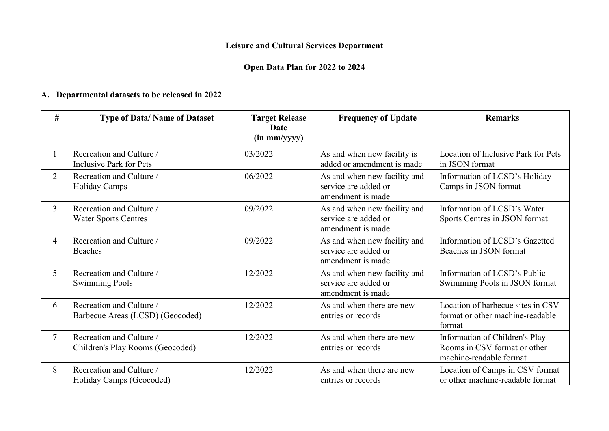# **Leisure and Cultural Services Department**

# **Open Data Plan for 2022 to 2024**

## **A. Departmental datasets to be released in 2022**

| #              | <b>Type of Data/Name of Dataset</b>                          | <b>Target Release</b><br>Date<br>(in mm/yyyy) | <b>Frequency of Update</b>                                                | <b>Remarks</b>                                                                            |
|----------------|--------------------------------------------------------------|-----------------------------------------------|---------------------------------------------------------------------------|-------------------------------------------------------------------------------------------|
|                | Recreation and Culture /<br><b>Inclusive Park for Pets</b>   | 03/2022                                       | As and when new facility is<br>added or amendment is made                 | Location of Inclusive Park for Pets<br>in JSON format                                     |
| $\overline{2}$ | Recreation and Culture /<br><b>Holiday Camps</b>             | 06/2022                                       | As and when new facility and<br>service are added or<br>amendment is made | Information of LCSD's Holiday<br>Camps in JSON format                                     |
| $\overline{3}$ | Recreation and Culture /<br><b>Water Sports Centres</b>      | 09/2022                                       | As and when new facility and<br>service are added or<br>amendment is made | Information of LCSD's Water<br>Sports Centres in JSON format                              |
| $\overline{4}$ | Recreation and Culture /<br><b>Beaches</b>                   | 09/2022                                       | As and when new facility and<br>service are added or<br>amendment is made | Information of LCSD's Gazetted<br>Beaches in JSON format                                  |
| 5              | Recreation and Culture /<br><b>Swimming Pools</b>            | 12/2022                                       | As and when new facility and<br>service are added or<br>amendment is made | Information of LCSD's Public<br>Swimming Pools in JSON format                             |
| 6              | Recreation and Culture /<br>Barbecue Areas (LCSD) (Geocoded) | 12/2022                                       | As and when there are new<br>entries or records                           | Location of barbecue sites in CSV<br>format or other machine-readable<br>format           |
| $\overline{7}$ | Recreation and Culture /<br>Children's Play Rooms (Geocoded) | 12/2022                                       | As and when there are new<br>entries or records                           | Information of Children's Play<br>Rooms in CSV format or other<br>machine-readable format |
| 8              | Recreation and Culture /<br>Holiday Camps (Geocoded)         | 12/2022                                       | As and when there are new<br>entries or records                           | Location of Camps in CSV format<br>or other machine-readable format                       |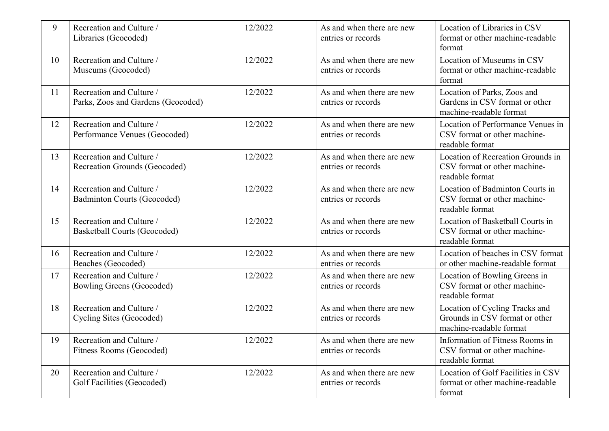| 9  | Recreation and Culture /<br>Libraries (Geocoded)                | 12/2022 | As and when there are new<br>entries or records | Location of Libraries in CSV<br>format or other machine-readable<br>format                  |
|----|-----------------------------------------------------------------|---------|-------------------------------------------------|---------------------------------------------------------------------------------------------|
| 10 | Recreation and Culture /<br>Museums (Geocoded)                  | 12/2022 | As and when there are new<br>entries or records | Location of Museums in CSV<br>format or other machine-readable<br>format                    |
| 11 | Recreation and Culture /<br>Parks, Zoos and Gardens (Geocoded)  | 12/2022 | As and when there are new<br>entries or records | Location of Parks, Zoos and<br>Gardens in CSV format or other<br>machine-readable format    |
| 12 | Recreation and Culture /<br>Performance Venues (Geocoded)       | 12/2022 | As and when there are new<br>entries or records | Location of Performance Venues in<br>CSV format or other machine-<br>readable format        |
| 13 | Recreation and Culture /<br>Recreation Grounds (Geocoded)       | 12/2022 | As and when there are new<br>entries or records | Location of Recreation Grounds in<br>CSV format or other machine-<br>readable format        |
| 14 | Recreation and Culture /<br>Badminton Courts (Geocoded)         | 12/2022 | As and when there are new<br>entries or records | Location of Badminton Courts in<br>CSV format or other machine-<br>readable format          |
| 15 | Recreation and Culture /<br><b>Basketball Courts (Geocoded)</b> | 12/2022 | As and when there are new<br>entries or records | Location of Basketball Courts in<br>CSV format or other machine-<br>readable format         |
| 16 | Recreation and Culture /<br>Beaches (Geocoded)                  | 12/2022 | As and when there are new<br>entries or records | Location of beaches in CSV format<br>or other machine-readable format                       |
| 17 | Recreation and Culture /<br>Bowling Greens (Geocoded)           | 12/2022 | As and when there are new<br>entries or records | Location of Bowling Greens in<br>CSV format or other machine-<br>readable format            |
| 18 | Recreation and Culture /<br>Cycling Sites (Geocoded)            | 12/2022 | As and when there are new<br>entries or records | Location of Cycling Tracks and<br>Grounds in CSV format or other<br>machine-readable format |
| 19 | Recreation and Culture /<br>Fitness Rooms (Geocoded)            | 12/2022 | As and when there are new<br>entries or records | Information of Fitness Rooms in<br>CSV format or other machine-<br>readable format          |
| 20 | Recreation and Culture /<br>Golf Facilities (Geocoded)          | 12/2022 | As and when there are new<br>entries or records | Location of Golf Facilities in CSV<br>format or other machine-readable<br>format            |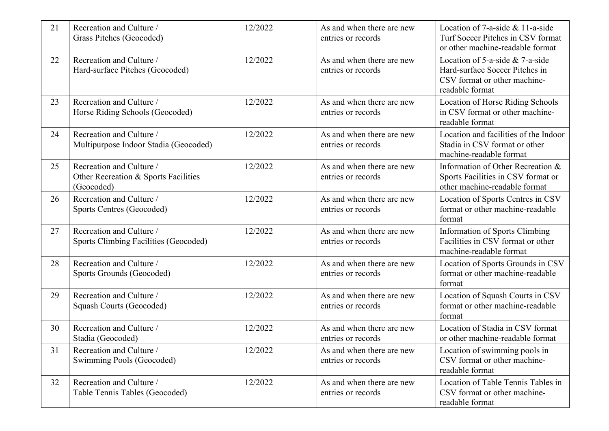| 21 | Recreation and Culture /<br>Grass Pitches (Geocoded)                           | 12/2022 | As and when there are new<br>entries or records | Location of 7-a-side & 11-a-side<br>Turf Soccer Pitches in CSV format<br>or other machine-readable format                  |
|----|--------------------------------------------------------------------------------|---------|-------------------------------------------------|----------------------------------------------------------------------------------------------------------------------------|
| 22 | Recreation and Culture /<br>Hard-surface Pitches (Geocoded)                    | 12/2022 | As and when there are new<br>entries or records | Location of $5$ -a-side & $7$ -a-side<br>Hard-surface Soccer Pitches in<br>CSV format or other machine-<br>readable format |
| 23 | Recreation and Culture /<br>Horse Riding Schools (Geocoded)                    | 12/2022 | As and when there are new<br>entries or records | Location of Horse Riding Schools<br>in CSV format or other machine-<br>readable format                                     |
| 24 | Recreation and Culture /<br>Multipurpose Indoor Stadia (Geocoded)              | 12/2022 | As and when there are new<br>entries or records | Location and facilities of the Indoor<br>Stadia in CSV format or other<br>machine-readable format                          |
| 25 | Recreation and Culture /<br>Other Recreation & Sports Facilities<br>(Geocoded) | 12/2022 | As and when there are new<br>entries or records | Information of Other Recreation &<br>Sports Facilities in CSV format or<br>other machine-readable format                   |
| 26 | Recreation and Culture /<br>Sports Centres (Geocoded)                          | 12/2022 | As and when there are new<br>entries or records | Location of Sports Centres in CSV<br>format or other machine-readable<br>format                                            |
| 27 | Recreation and Culture /<br><b>Sports Climbing Facilities (Geocoded)</b>       | 12/2022 | As and when there are new<br>entries or records | <b>Information of Sports Climbing</b><br>Facilities in CSV format or other<br>machine-readable format                      |
| 28 | Recreation and Culture /<br>Sports Grounds (Geocoded)                          | 12/2022 | As and when there are new<br>entries or records | Location of Sports Grounds in CSV<br>format or other machine-readable<br>format                                            |
| 29 | Recreation and Culture /<br>Squash Courts (Geocoded)                           | 12/2022 | As and when there are new<br>entries or records | Location of Squash Courts in CSV<br>format or other machine-readable<br>format                                             |
| 30 | Recreation and Culture /<br>Stadia (Geocoded)                                  | 12/2022 | As and when there are new<br>entries or records | Location of Stadia in CSV format<br>or other machine-readable format                                                       |
| 31 | Recreation and Culture /<br>Swimming Pools (Geocoded)                          | 12/2022 | As and when there are new<br>entries or records | Location of swimming pools in<br>CSV format or other machine-<br>readable format                                           |
| 32 | Recreation and Culture /<br>Table Tennis Tables (Geocoded)                     | 12/2022 | As and when there are new<br>entries or records | Location of Table Tennis Tables in<br>CSV format or other machine-<br>readable format                                      |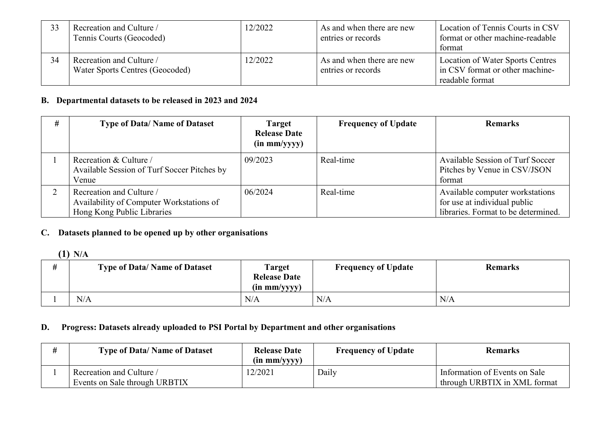| 33 | Recreation and Culture /<br>Tennis Courts (Geocoded)        | 12/2022 | As and when there are new<br>entries or records | Location of Tennis Courts in CSV<br>format or other machine-readable<br>format         |
|----|-------------------------------------------------------------|---------|-------------------------------------------------|----------------------------------------------------------------------------------------|
| 34 | Recreation and Culture /<br>Water Sports Centres (Geocoded) | 12/2022 | As and when there are new<br>entries or records | Location of Water Sports Centres<br>in CSV format or other machine-<br>readable format |

### **B. Departmental datasets to be released in 2023 and 2024**

| # | <b>Type of Data/ Name of Dataset</b>                                                               | <b>Target</b><br><b>Release Date</b><br>$(in \, mm/yyy)$ | <b>Frequency of Update</b> | <b>Remarks</b>                                                                                         |
|---|----------------------------------------------------------------------------------------------------|----------------------------------------------------------|----------------------------|--------------------------------------------------------------------------------------------------------|
|   | Recreation & Culture /<br>Available Session of Turf Soccer Pitches by<br>Venue                     | 09/2023                                                  | Real-time                  | Available Session of Turf Soccer<br>Pitches by Venue in CSV/JSON<br>format                             |
|   | Recreation and Culture /<br>Availability of Computer Workstations of<br>Hong Kong Public Libraries | 06/2024                                                  | Real-time                  | Available computer workstations<br>for use at individual public<br>libraries. Format to be determined. |

## **C. Datasets planned to be opened up by other organisations**

# **(1) N/A**

| <b>Type of Data/Name of Dataset</b> | <b>Target</b><br><b>Release Date</b><br>$(in \, mm/yyyy)$ | <b>Frequency of Update</b> | <b>Remarks</b> |
|-------------------------------------|-----------------------------------------------------------|----------------------------|----------------|
| N/A                                 | N/A                                                       | N/A                        | N/A            |

# **D. Progress: Datasets already uploaded to PSI Portal by Department and other organisations**

| <b>Type of Data/Name of Dataset</b>                       | <b>Release Date</b><br>$(in \, mm/yyyy)$ | <b>Frequency of Update</b> | <b>Remarks</b>                                                |
|-----------------------------------------------------------|------------------------------------------|----------------------------|---------------------------------------------------------------|
| Recreation and Culture /<br>Events on Sale through URBTIX | 12/2021                                  | Daily                      | Information of Events on Sale<br>through URBTIX in XML format |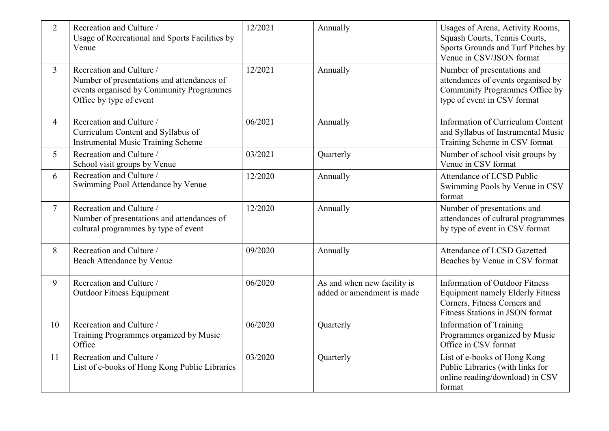| $\overline{2}$ | Recreation and Culture /<br>Usage of Recreational and Sports Facilities by<br>Venue                                                           | 12/2021 | Annually                                                  | Usages of Arena, Activity Rooms,<br>Squash Courts, Tennis Courts,<br>Sports Grounds and Turf Pitches by<br>Venue in CSV/JSON format                 |
|----------------|-----------------------------------------------------------------------------------------------------------------------------------------------|---------|-----------------------------------------------------------|-----------------------------------------------------------------------------------------------------------------------------------------------------|
| $\overline{3}$ | Recreation and Culture /<br>Number of presentations and attendances of<br>events organised by Community Programmes<br>Office by type of event | 12/2021 | Annually                                                  | Number of presentations and<br>attendances of events organised by<br>Community Programmes Office by<br>type of event in CSV format                  |
| $\overline{4}$ | Recreation and Culture /<br>Curriculum Content and Syllabus of<br><b>Instrumental Music Training Scheme</b>                                   | 06/2021 | Annually                                                  | Information of Curriculum Content<br>and Syllabus of Instrumental Music<br>Training Scheme in CSV format                                            |
| 5 <sup>5</sup> | Recreation and Culture /<br>School visit groups by Venue                                                                                      | 03/2021 | Quarterly                                                 | Number of school visit groups by<br>Venue in CSV format                                                                                             |
| 6              | Recreation and Culture /<br>Swimming Pool Attendance by Venue                                                                                 | 12/2020 | Annually                                                  | Attendance of LCSD Public<br>Swimming Pools by Venue in CSV<br>format                                                                               |
| $\overline{7}$ | Recreation and Culture /<br>Number of presentations and attendances of<br>cultural programmes by type of event                                | 12/2020 | Annually                                                  | Number of presentations and<br>attendances of cultural programmes<br>by type of event in CSV format                                                 |
| 8              | Recreation and Culture /<br>Beach Attendance by Venue                                                                                         | 09/2020 | Annually                                                  | Attendance of LCSD Gazetted<br>Beaches by Venue in CSV format                                                                                       |
| 9              | Recreation and Culture /<br><b>Outdoor Fitness Equipment</b>                                                                                  | 06/2020 | As and when new facility is<br>added or amendment is made | <b>Information of Outdoor Fitness</b><br><b>Equipment namely Elderly Fitness</b><br>Corners, Fitness Corners and<br>Fitness Stations in JSON format |
| 10             | Recreation and Culture /<br>Training Programmes organized by Music<br>Office                                                                  | 06/2020 | Quarterly                                                 | <b>Information of Training</b><br>Programmes organized by Music<br>Office in CSV format                                                             |
| 11             | Recreation and Culture /<br>List of e-books of Hong Kong Public Libraries                                                                     | 03/2020 | Quarterly                                                 | List of e-books of Hong Kong<br>Public Libraries (with links for<br>online reading/download) in CSV<br>format                                       |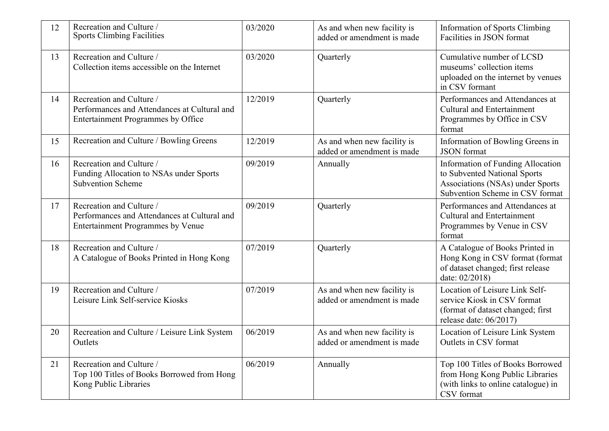| 12 | Recreation and Culture /<br><b>Sports Climbing Facilities</b>                                                        | 03/2020 | As and when new facility is<br>added or amendment is made | <b>Information of Sports Climbing</b><br>Facilities in JSON format                                                                              |
|----|----------------------------------------------------------------------------------------------------------------------|---------|-----------------------------------------------------------|-------------------------------------------------------------------------------------------------------------------------------------------------|
| 13 | Recreation and Culture /<br>Collection items accessible on the Internet                                              | 03/2020 | Quarterly                                                 | Cumulative number of LCSD<br>museums' collection items<br>uploaded on the internet by venues<br>in CSV formant                                  |
| 14 | Recreation and Culture /<br>Performances and Attendances at Cultural and<br>Entertainment Programmes by Office       | 12/2019 | Quarterly                                                 | Performances and Attendances at<br><b>Cultural and Entertainment</b><br>Programmes by Office in CSV<br>format                                   |
| 15 | Recreation and Culture / Bowling Greens                                                                              | 12/2019 | As and when new facility is<br>added or amendment is made | Information of Bowling Greens in<br><b>JSON</b> format                                                                                          |
| 16 | Recreation and Culture /<br>Funding Allocation to NSAs under Sports<br><b>Subvention Scheme</b>                      | 09/2019 | Annually                                                  | <b>Information of Funding Allocation</b><br>to Subvented National Sports<br>Associations (NSAs) under Sports<br>Subvention Scheme in CSV format |
| 17 | Recreation and Culture /<br>Performances and Attendances at Cultural and<br><b>Entertainment Programmes by Venue</b> | 09/2019 | Quarterly                                                 | Performances and Attendances at<br><b>Cultural and Entertainment</b><br>Programmes by Venue in CSV<br>format                                    |
| 18 | Recreation and Culture /<br>A Catalogue of Books Printed in Hong Kong                                                | 07/2019 | Quarterly                                                 | A Catalogue of Books Printed in<br>Hong Kong in CSV format (format<br>of dataset changed; first release<br>date: 02/2018)                       |
| 19 | Recreation and Culture /<br>Leisure Link Self-service Kiosks                                                         | 07/2019 | As and when new facility is<br>added or amendment is made | Location of Leisure Link Self-<br>service Kiosk in CSV format<br>(format of dataset changed; first<br>release date: 06/2017)                    |
| 20 | Recreation and Culture / Leisure Link System<br>Outlets                                                              | 06/2019 | As and when new facility is<br>added or amendment is made | Location of Leisure Link System<br>Outlets in CSV format                                                                                        |
| 21 | Recreation and Culture /<br>Top 100 Titles of Books Borrowed from Hong<br>Kong Public Libraries                      | 06/2019 | Annually                                                  | Top 100 Titles of Books Borrowed<br>from Hong Kong Public Libraries<br>(with links to online catalogue) in<br>CSV format                        |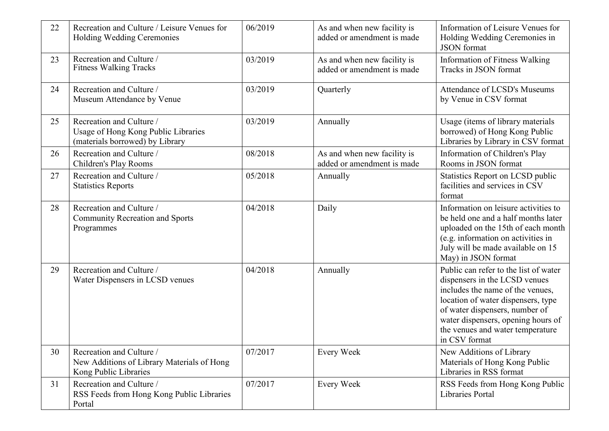| 22 | Recreation and Culture / Leisure Venues for<br>Holding Wedding Ceremonies                          | 06/2019 | As and when new facility is<br>added or amendment is made | Information of Leisure Venues for<br>Holding Wedding Ceremonies in<br><b>JSON</b> format                                                                                                                                                                                      |
|----|----------------------------------------------------------------------------------------------------|---------|-----------------------------------------------------------|-------------------------------------------------------------------------------------------------------------------------------------------------------------------------------------------------------------------------------------------------------------------------------|
| 23 | Recreation and Culture /<br><b>Fitness Walking Tracks</b>                                          | 03/2019 | As and when new facility is<br>added or amendment is made | Information of Fitness Walking<br>Tracks in JSON format                                                                                                                                                                                                                       |
| 24 | Recreation and Culture /<br>Museum Attendance by Venue                                             | 03/2019 | Quarterly                                                 | <b>Attendance of LCSD's Museums</b><br>by Venue in CSV format                                                                                                                                                                                                                 |
| 25 | Recreation and Culture /<br>Usage of Hong Kong Public Libraries<br>(materials borrowed) by Library | 03/2019 | Annually                                                  | Usage (items of library materials<br>borrowed) of Hong Kong Public<br>Libraries by Library in CSV format                                                                                                                                                                      |
| 26 | Recreation and Culture /<br>Children's Play Rooms                                                  | 08/2018 | As and when new facility is<br>added or amendment is made | Information of Children's Play<br>Rooms in JSON format                                                                                                                                                                                                                        |
| 27 | Recreation and Culture /<br><b>Statistics Reports</b>                                              | 05/2018 | Annually                                                  | Statistics Report on LCSD public<br>facilities and services in CSV<br>format                                                                                                                                                                                                  |
| 28 | Recreation and Culture /<br><b>Community Recreation and Sports</b><br>Programmes                   | 04/2018 | Daily                                                     | Information on leisure activities to<br>be held one and a half months later<br>uploaded on the 15th of each month<br>(e.g. information on activities in<br>July will be made available on 15<br>May) in JSON format                                                           |
| 29 | Recreation and Culture /<br>Water Dispensers in LCSD venues                                        | 04/2018 | Annually                                                  | Public can refer to the list of water<br>dispensers in the LCSD venues<br>includes the name of the venues,<br>location of water dispensers, type<br>of water dispensers, number of<br>water dispensers, opening hours of<br>the venues and water temperature<br>in CSV format |
| 30 | Recreation and Culture /<br>New Additions of Library Materials of Hong<br>Kong Public Libraries    | 07/2017 | <b>Every Week</b>                                         | New Additions of Library<br>Materials of Hong Kong Public<br>Libraries in RSS format                                                                                                                                                                                          |
| 31 | Recreation and Culture /<br>RSS Feeds from Hong Kong Public Libraries<br>Portal                    | 07/2017 | <b>Every Week</b>                                         | RSS Feeds from Hong Kong Public<br>Libraries Portal                                                                                                                                                                                                                           |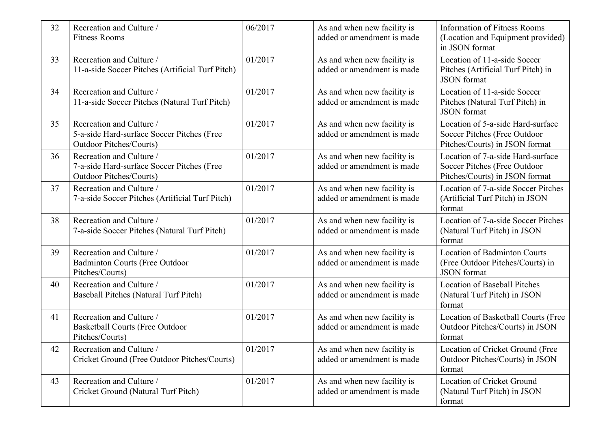| 32 | Recreation and Culture /<br><b>Fitness Rooms</b>                                                         | 06/2017 | As and when new facility is<br>added or amendment is made | <b>Information of Fitness Rooms</b><br>(Location and Equipment provided)<br>in JSON format          |
|----|----------------------------------------------------------------------------------------------------------|---------|-----------------------------------------------------------|-----------------------------------------------------------------------------------------------------|
| 33 | Recreation and Culture /<br>11-a-side Soccer Pitches (Artificial Turf Pitch)                             | 01/2017 | As and when new facility is<br>added or amendment is made | Location of 11-a-side Soccer<br>Pitches (Artificial Turf Pitch) in<br><b>JSON</b> format            |
| 34 | Recreation and Culture /<br>11-a-side Soccer Pitches (Natural Turf Pitch)                                | 01/2017 | As and when new facility is<br>added or amendment is made | Location of 11-a-side Soccer<br>Pitches (Natural Turf Pitch) in<br><b>JSON</b> format               |
| 35 | Recreation and Culture /<br>5-a-side Hard-surface Soccer Pitches (Free<br><b>Outdoor Pitches/Courts)</b> | 01/2017 | As and when new facility is<br>added or amendment is made | Location of 5-a-side Hard-surface<br>Soccer Pitches (Free Outdoor<br>Pitches/Courts) in JSON format |
| 36 | Recreation and Culture /<br>7-a-side Hard-surface Soccer Pitches (Free<br><b>Outdoor Pitches/Courts)</b> | 01/2017 | As and when new facility is<br>added or amendment is made | Location of 7-a-side Hard-surface<br>Soccer Pitches (Free Outdoor<br>Pitches/Courts) in JSON format |
| 37 | Recreation and Culture /<br>7-a-side Soccer Pitches (Artificial Turf Pitch)                              | 01/2017 | As and when new facility is<br>added or amendment is made | Location of 7-a-side Soccer Pitches<br>(Artificial Turf Pitch) in JSON<br>format                    |
| 38 | Recreation and Culture /<br>7-a-side Soccer Pitches (Natural Turf Pitch)                                 | 01/2017 | As and when new facility is<br>added or amendment is made | Location of 7-a-side Soccer Pitches<br>(Natural Turf Pitch) in JSON<br>format                       |
| 39 | Recreation and Culture /<br><b>Badminton Courts (Free Outdoor</b><br>Pitches/Courts)                     | 01/2017 | As and when new facility is<br>added or amendment is made | <b>Location of Badminton Courts</b><br>(Free Outdoor Pitches/Courts) in<br><b>JSON</b> format       |
| 40 | Recreation and Culture /<br>Baseball Pitches (Natural Turf Pitch)                                        | 01/2017 | As and when new facility is<br>added or amendment is made | <b>Location of Baseball Pitches</b><br>(Natural Turf Pitch) in JSON<br>format                       |
| 41 | Recreation and Culture /<br><b>Basketball Courts (Free Outdoor</b><br>Pitches/Courts)                    | 01/2017 | As and when new facility is<br>added or amendment is made | Location of Basketball Courts (Free<br>Outdoor Pitches/Courts) in JSON<br>format                    |
| 42 | Recreation and Culture /<br>Cricket Ground (Free Outdoor Pitches/Courts)                                 | 01/2017 | As and when new facility is<br>added or amendment is made | Location of Cricket Ground (Free<br>Outdoor Pitches/Courts) in JSON<br>format                       |
| 43 | Recreation and Culture /<br>Cricket Ground (Natural Turf Pitch)                                          | 01/2017 | As and when new facility is<br>added or amendment is made | Location of Cricket Ground<br>(Natural Turf Pitch) in JSON<br>format                                |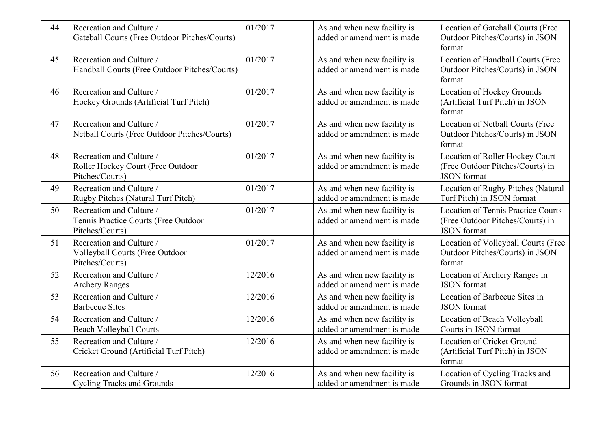| 44 | Recreation and Culture /<br>Gateball Courts (Free Outdoor Pitches/Courts)           | 01/2017 | As and when new facility is<br>added or amendment is made | Location of Gateball Courts (Free<br>Outdoor Pitches/Courts) in JSON<br>format                      |
|----|-------------------------------------------------------------------------------------|---------|-----------------------------------------------------------|-----------------------------------------------------------------------------------------------------|
| 45 | Recreation and Culture /<br>Handball Courts (Free Outdoor Pitches/Courts)           | 01/2017 | As and when new facility is<br>added or amendment is made | Location of Handball Courts (Free<br>Outdoor Pitches/Courts) in JSON<br>format                      |
| 46 | Recreation and Culture /<br>Hockey Grounds (Artificial Turf Pitch)                  | 01/2017 | As and when new facility is<br>added or amendment is made | Location of Hockey Grounds<br>(Artificial Turf Pitch) in JSON<br>format                             |
| 47 | Recreation and Culture /<br>Netball Courts (Free Outdoor Pitches/Courts)            | 01/2017 | As and when new facility is<br>added or amendment is made | Location of Netball Courts (Free<br>Outdoor Pitches/Courts) in JSON<br>format                       |
| 48 | Recreation and Culture /<br>Roller Hockey Court (Free Outdoor<br>Pitches/Courts)    | 01/2017 | As and when new facility is<br>added or amendment is made | Location of Roller Hockey Court<br>(Free Outdoor Pitches/Courts) in<br><b>JSON</b> format           |
| 49 | Recreation and Culture /<br>Rugby Pitches (Natural Turf Pitch)                      | 01/2017 | As and when new facility is<br>added or amendment is made | Location of Rugby Pitches (Natural<br>Turf Pitch) in JSON format                                    |
| 50 | Recreation and Culture /<br>Tennis Practice Courts (Free Outdoor<br>Pitches/Courts) | 01/2017 | As and when new facility is<br>added or amendment is made | <b>Location of Tennis Practice Courts</b><br>(Free Outdoor Pitches/Courts) in<br><b>JSON</b> format |
| 51 | Recreation and Culture /<br>Volleyball Courts (Free Outdoor<br>Pitches/Courts)      | 01/2017 | As and when new facility is<br>added or amendment is made | Location of Volleyball Courts (Free<br>Outdoor Pitches/Courts) in JSON<br>format                    |
| 52 | Recreation and Culture /<br><b>Archery Ranges</b>                                   | 12/2016 | As and when new facility is<br>added or amendment is made | Location of Archery Ranges in<br><b>JSON</b> format                                                 |
| 53 | Recreation and Culture /<br><b>Barbecue Sites</b>                                   | 12/2016 | As and when new facility is<br>added or amendment is made | Location of Barbecue Sites in<br><b>JSON</b> format                                                 |
| 54 | Recreation and Culture /<br><b>Beach Volleyball Courts</b>                          | 12/2016 | As and when new facility is<br>added or amendment is made | Location of Beach Volleyball<br>Courts in JSON format                                               |
| 55 | Recreation and Culture /<br>Cricket Ground (Artificial Turf Pitch)                  | 12/2016 | As and when new facility is<br>added or amendment is made | Location of Cricket Ground<br>(Artificial Turf Pitch) in JSON<br>format                             |
| 56 | Recreation and Culture /<br><b>Cycling Tracks and Grounds</b>                       | 12/2016 | As and when new facility is<br>added or amendment is made | Location of Cycling Tracks and<br>Grounds in JSON format                                            |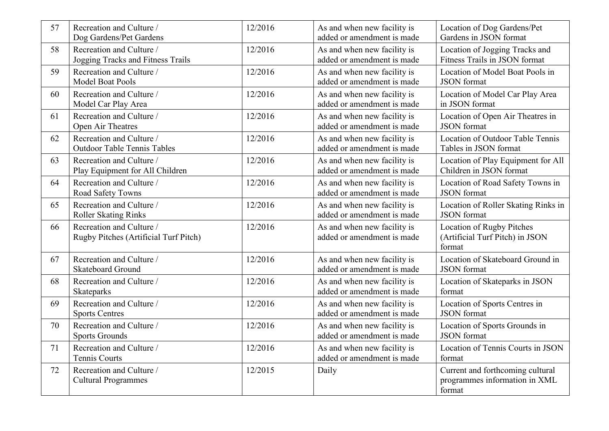| 57 | Recreation and Culture /<br>Dog Gardens/Pet Gardens               | 12/2016 | As and when new facility is<br>added or amendment is made | Location of Dog Gardens/Pet<br>Gardens in JSON format                       |
|----|-------------------------------------------------------------------|---------|-----------------------------------------------------------|-----------------------------------------------------------------------------|
| 58 | Recreation and Culture /<br>Jogging Tracks and Fitness Trails     | 12/2016 | As and when new facility is<br>added or amendment is made | Location of Jogging Tracks and<br>Fitness Trails in JSON format             |
| 59 | Recreation and Culture /<br><b>Model Boat Pools</b>               | 12/2016 | As and when new facility is<br>added or amendment is made | Location of Model Boat Pools in<br><b>JSON</b> format                       |
| 60 | Recreation and Culture /<br>Model Car Play Area                   | 12/2016 | As and when new facility is<br>added or amendment is made | Location of Model Car Play Area<br>in JSON format                           |
| 61 | Recreation and Culture /<br>Open Air Theatres                     | 12/2016 | As and when new facility is<br>added or amendment is made | Location of Open Air Theatres in<br><b>JSON</b> format                      |
| 62 | Recreation and Culture /<br><b>Outdoor Table Tennis Tables</b>    | 12/2016 | As and when new facility is<br>added or amendment is made | Location of Outdoor Table Tennis<br>Tables in JSON format                   |
| 63 | Recreation and Culture /<br>Play Equipment for All Children       | 12/2016 | As and when new facility is<br>added or amendment is made | Location of Play Equipment for All<br>Children in JSON format               |
| 64 | Recreation and Culture /<br>Road Safety Towns                     | 12/2016 | As and when new facility is<br>added or amendment is made | Location of Road Safety Towns in<br><b>JSON</b> format                      |
| 65 | Recreation and Culture /<br><b>Roller Skating Rinks</b>           | 12/2016 | As and when new facility is<br>added or amendment is made | Location of Roller Skating Rinks in<br><b>JSON</b> format                   |
| 66 | Recreation and Culture /<br>Rugby Pitches (Artificial Turf Pitch) | 12/2016 | As and when new facility is<br>added or amendment is made | Location of Rugby Pitches<br>(Artificial Turf Pitch) in JSON<br>format      |
| 67 | Recreation and Culture /<br><b>Skateboard Ground</b>              | 12/2016 | As and when new facility is<br>added or amendment is made | Location of Skateboard Ground in<br><b>JSON</b> format                      |
| 68 | Recreation and Culture /<br>Skateparks                            | 12/2016 | As and when new facility is<br>added or amendment is made | Location of Skateparks in JSON<br>format                                    |
| 69 | Recreation and Culture /<br><b>Sports Centres</b>                 | 12/2016 | As and when new facility is<br>added or amendment is made | Location of Sports Centres in<br><b>JSON</b> format                         |
| 70 | Recreation and Culture /<br><b>Sports Grounds</b>                 | 12/2016 | As and when new facility is<br>added or amendment is made | Location of Sports Grounds in<br><b>JSON</b> format                         |
| 71 | Recreation and Culture /<br>Tennis Courts                         | 12/2016 | As and when new facility is<br>added or amendment is made | Location of Tennis Courts in JSON<br>format                                 |
| 72 | Recreation and Culture /<br><b>Cultural Programmes</b>            | 12/2015 | Daily                                                     | Current and forthcoming cultural<br>programmes information in XML<br>format |